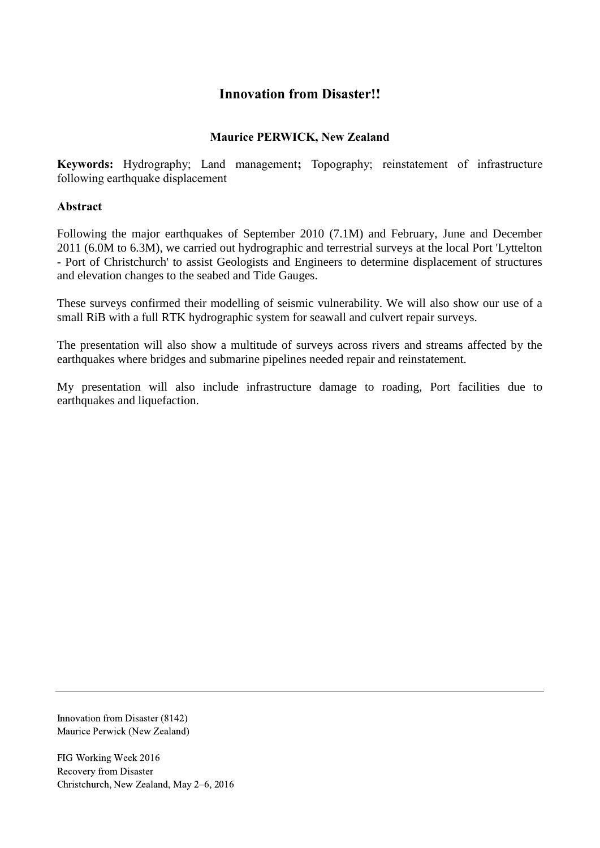# **Innovation from Disaster!!**

#### **Maurice PERWICK, New Zealand**

**Keywords:** Hydrography; Land management**;** Topography; reinstatement of infrastructure following earthquake displacement

#### **Abstract**

Following the major earthquakes of September 2010 (7.1M) and February, June and December 2011 (6.0M to 6.3M), we carried out hydrographic and terrestrial surveys at the local Port 'Lyttelton - Port of Christchurch' to assist Geologists and Engineers to determine displacement of structures and elevation changes to the seabed and Tide Gauges.

These surveys confirmed their modelling of seismic vulnerability. We will also show our use of a small RiB with a full RTK hydrographic system for seawall and culvert repair surveys.

The presentation will also show a multitude of surveys across rivers and streams affected by the earthquakes where bridges and submarine pipelines needed repair and reinstatement.

My presentation will also include infrastructure damage to roading, Port facilities due to earthquakes and liquefaction.

Innovation from Disaster (8142) Maurice Perwick (New Zealand)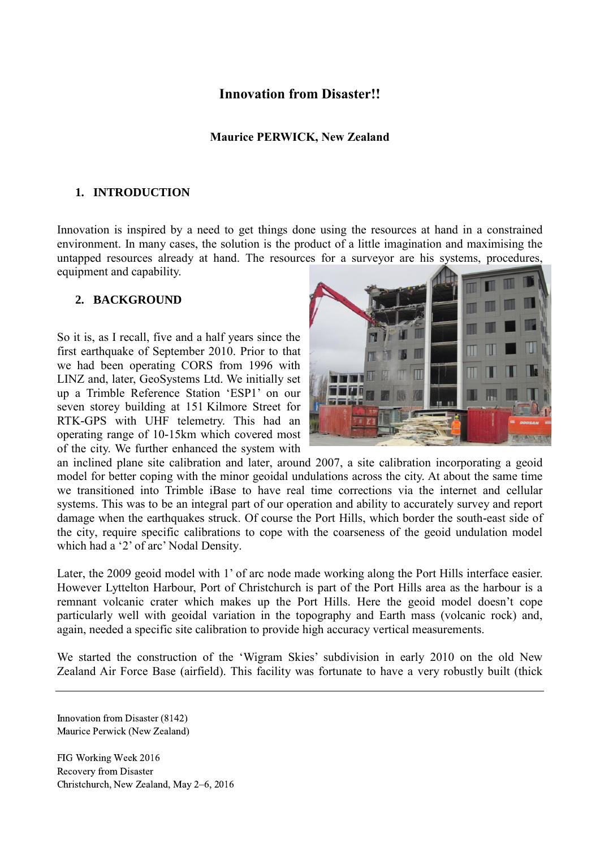## **Innovation from Disaster!!**

#### **Maurice PERWICK, New Zealand**

#### **1. INTRODUCTION**

Innovation is inspired by a need to get things done using the resources at hand in a constrained environment. In many cases, the solution is the product of a little imagination and maximising the untapped resources already at hand. The resources for a surveyor are his systems, procedures, equipment and capability.

#### **2. BACKGROUND**

So it is, as I recall, five and a half years since the first earthquake of September 2010. Prior to that we had been operating CORS from 1996 with LINZ and, later, GeoSystems Ltd. We initially set up a Trimble Reference Station 'ESP1' on our seven storey building at 151 Kilmore Street for RTK-GPS with UHF telemetry. This had an operating range of 10-15km which covered most of the city. We further enhanced the system with



an inclined plane site calibration and later, around 2007, a site calibration incorporating a geoid model for better coping with the minor geoidal undulations across the city. At about the same time we transitioned into Trimble iBase to have real time corrections via the internet and cellular systems. This was to be an integral part of our operation and ability to accurately survey and report damage when the earthquakes struck. Of course the Port Hills, which border the south-east side of the city, require specific calibrations to cope with the coarseness of the geoid undulation model which had a '2' of arc' Nodal Density.

Later, the 2009 geoid model with 1' of arc node made working along the Port Hills interface easier. However Lyttelton Harbour, Port of Christchurch is part of the Port Hills area as the harbour is a remnant volcanic crater which makes up the Port Hills. Here the geoid model doesn't cope particularly well with geoidal variation in the topography and Earth mass (volcanic rock) and, again, needed a specific site calibration to provide high accuracy vertical measurements.

We started the construction of the 'Wigram Skies' subdivision in early 2010 on the old New Zealand Air Force Base (airfield). This facility was fortunate to have a very robustly built (thick

Innovation from Disaster (8142) Maurice Perwick (New Zealand)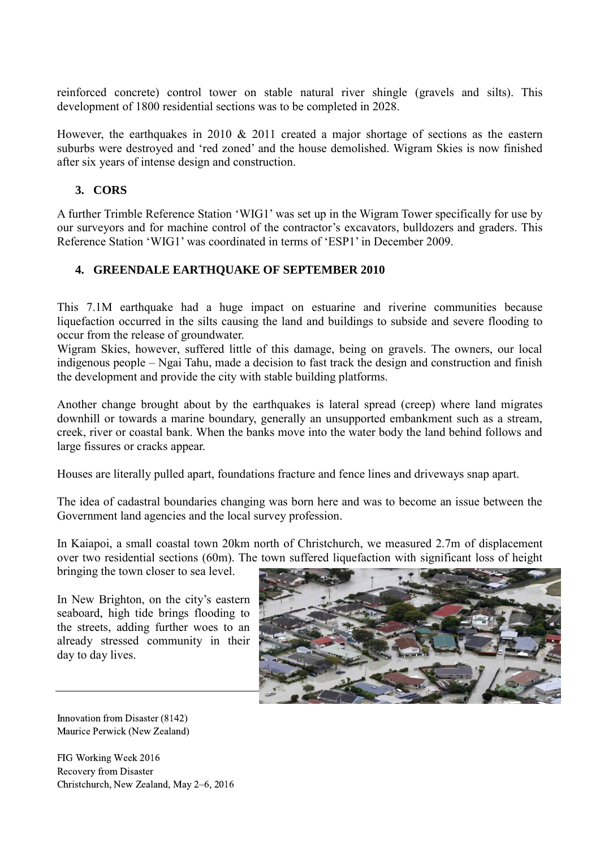reinforced concrete) control tower on stable natural river shingle (gravels and silts). This development of 1800 residential sections was to be completed in 2028.

However, the earthquakes in 2010 & 2011 created a major shortage of sections as the eastern suburbs were destroyed and 'red zoned' and the house demolished. Wigram Skies is now finished after six years of intense design and construction.

### **3. CORS**

A further Trimble Reference Station 'WIG1' was set up in the Wigram Tower specifically for use by our surveyors and for machine control of the contractor's excavators, bulldozers and graders. This Reference Station 'WIG1' was coordinated in terms of 'ESP1' in December 2009.

### **4. GREENDALE EARTHQUAKE OF SEPTEMBER 2010**

This 7.1M earthquake had a huge impact on estuarine and riverine communities because liquefaction occurred in the silts causing the land and buildings to subside and severe flooding to occur from the release of groundwater.

Wigram Skies, however, suffered little of this damage, being on gravels. The owners, our local indigenous people – Ngai Tahu, made a decision to fast track the design and construction and finish the development and provide the city with stable building platforms.

Another change brought about by the earthquakes is lateral spread (creep) where land migrates downhill or towards a marine boundary, generally an unsupported embankment such as a stream, creek, river or coastal bank. When the banks move into the water body the land behind follows and large fissures or cracks appear.

Houses are literally pulled apart, foundations fracture and fence lines and driveways snap apart.

The idea of cadastral boundaries changing was born here and was to become an issue between the Government land agencies and the local survey profession.

In Kaiapoi, a small coastal town 20km north of Christchurch, we measured 2.7m of displacement over two residential sections (60m). The town suffered liquefaction with significant loss of height

bringing the town closer to sea level.

In New Brighton, on the city's eastern seaboard, high tide brings flooding to the streets, adding further woes to an already stressed community in their day to day lives.



Innovation from Disaster (8142) Maurice Perwick (New Zealand)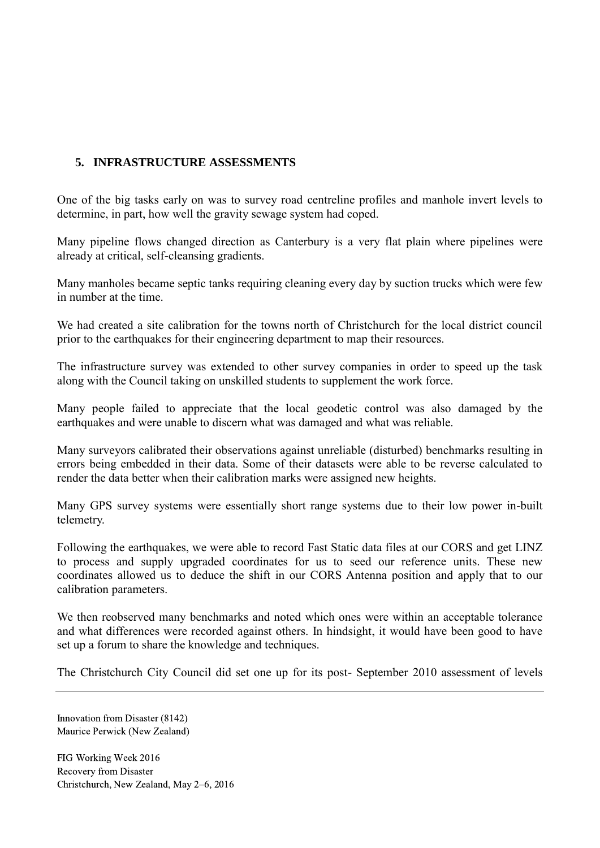## **5. INFRASTRUCTURE ASSESSMENTS**

One of the big tasks early on was to survey road centreline profiles and manhole invert levels to determine, in part, how well the gravity sewage system had coped.

Many pipeline flows changed direction as Canterbury is a very flat plain where pipelines were already at critical, self-cleansing gradients.

Many manholes became septic tanks requiring cleaning every day by suction trucks which were few in number at the time.

We had created a site calibration for the towns north of Christchurch for the local district council prior to the earthquakes for their engineering department to map their resources.

The infrastructure survey was extended to other survey companies in order to speed up the task along with the Council taking on unskilled students to supplement the work force.

Many people failed to appreciate that the local geodetic control was also damaged by the earthquakes and were unable to discern what was damaged and what was reliable.

Many surveyors calibrated their observations against unreliable (disturbed) benchmarks resulting in errors being embedded in their data. Some of their datasets were able to be reverse calculated to render the data better when their calibration marks were assigned new heights.

Many GPS survey systems were essentially short range systems due to their low power in-built telemetry.

Following the earthquakes, we were able to record Fast Static data files at our CORS and get LINZ to process and supply upgraded coordinates for us to seed our reference units. These new coordinates allowed us to deduce the shift in our CORS Antenna position and apply that to our calibration parameters.

We then reobserved many benchmarks and noted which ones were within an acceptable tolerance and what differences were recorded against others. In hindsight, it would have been good to have set up a forum to share the knowledge and techniques.

The Christchurch City Council did set one up for its post- September 2010 assessment of levels

Innovation from Disaster (8142) Maurice Perwick (New Zealand)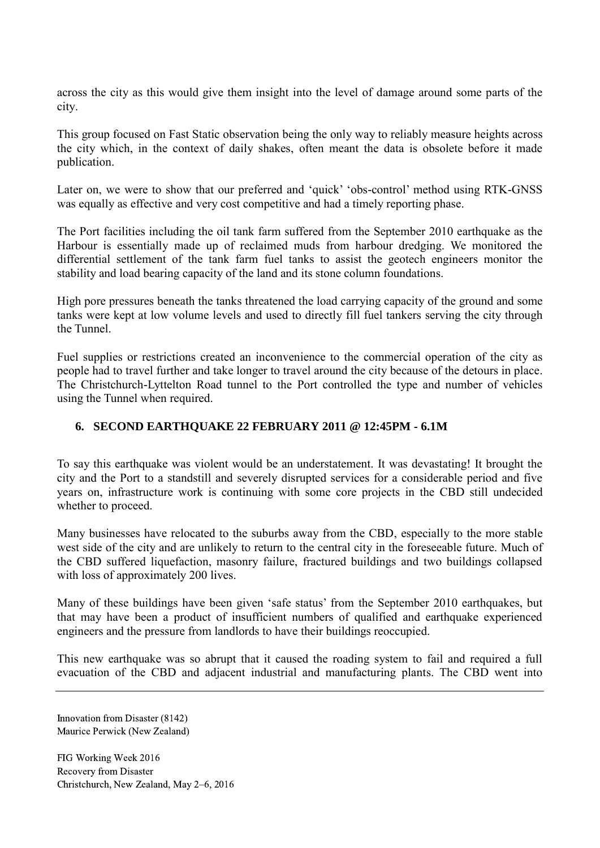across the city as this would give them insight into the level of damage around some parts of the city.

This group focused on Fast Static observation being the only way to reliably measure heights across the city which, in the context of daily shakes, often meant the data is obsolete before it made publication.

Later on, we were to show that our preferred and 'quick' 'obs-control' method using RTK-GNSS was equally as effective and very cost competitive and had a timely reporting phase.

The Port facilities including the oil tank farm suffered from the September 2010 earthquake as the Harbour is essentially made up of reclaimed muds from harbour dredging. We monitored the differential settlement of the tank farm fuel tanks to assist the geotech engineers monitor the stability and load bearing capacity of the land and its stone column foundations.

High pore pressures beneath the tanks threatened the load carrying capacity of the ground and some tanks were kept at low volume levels and used to directly fill fuel tankers serving the city through the Tunnel.

Fuel supplies or restrictions created an inconvenience to the commercial operation of the city as people had to travel further and take longer to travel around the city because of the detours in place. The Christchurch-Lyttelton Road tunnel to the Port controlled the type and number of vehicles using the Tunnel when required.

## **6. SECOND EARTHQUAKE 22 FEBRUARY 2011 @ 12:45PM - 6.1M**

To say this earthquake was violent would be an understatement. It was devastating! It brought the city and the Port to a standstill and severely disrupted services for a considerable period and five years on, infrastructure work is continuing with some core projects in the CBD still undecided whether to proceed.

Many businesses have relocated to the suburbs away from the CBD, especially to the more stable west side of the city and are unlikely to return to the central city in the foreseeable future. Much of the CBD suffered liquefaction, masonry failure, fractured buildings and two buildings collapsed with loss of approximately 200 lives.

Many of these buildings have been given 'safe status' from the September 2010 earthquakes, but that may have been a product of insufficient numbers of qualified and earthquake experienced engineers and the pressure from landlords to have their buildings reoccupied.

This new earthquake was so abrupt that it caused the roading system to fail and required a full evacuation of the CBD and adjacent industrial and manufacturing plants. The CBD went into

Innovation from Disaster (8142) Maurice Perwick (New Zealand)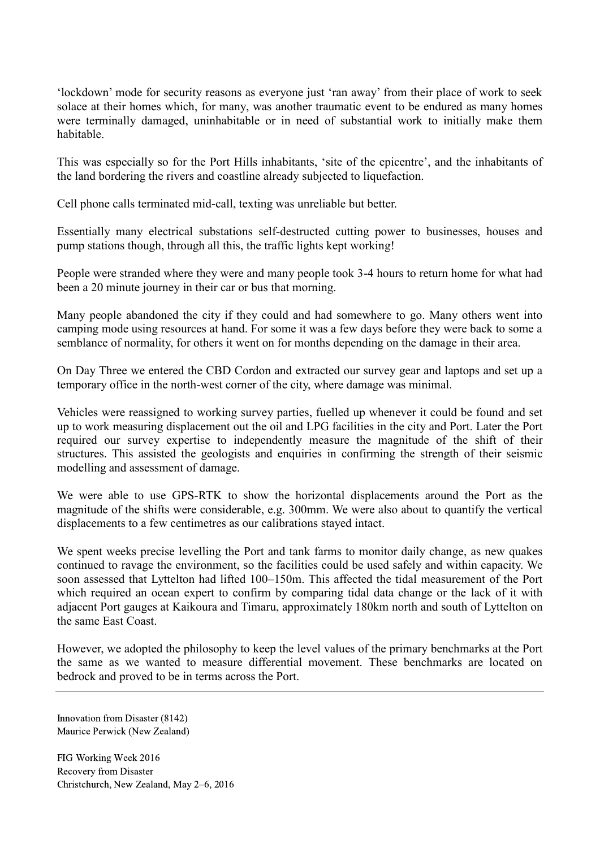'lockdown' mode for security reasons as everyone just 'ran away' from their place of work to seek solace at their homes which, for many, was another traumatic event to be endured as many homes were terminally damaged, uninhabitable or in need of substantial work to initially make them habitable.

This was especially so for the Port Hills inhabitants, 'site of the epicentre', and the inhabitants of the land bordering the rivers and coastline already subjected to liquefaction.

Cell phone calls terminated mid-call, texting was unreliable but better.

Essentially many electrical substations self-destructed cutting power to businesses, houses and pump stations though, through all this, the traffic lights kept working!

People were stranded where they were and many people took 3-4 hours to return home for what had been a 20 minute journey in their car or bus that morning.

Many people abandoned the city if they could and had somewhere to go. Many others went into camping mode using resources at hand. For some it was a few days before they were back to some a semblance of normality, for others it went on for months depending on the damage in their area.

On Day Three we entered the CBD Cordon and extracted our survey gear and laptops and set up a temporary office in the north-west corner of the city, where damage was minimal.

Vehicles were reassigned to working survey parties, fuelled up whenever it could be found and set up to work measuring displacement out the oil and LPG facilities in the city and Port. Later the Port required our survey expertise to independently measure the magnitude of the shift of their structures. This assisted the geologists and enquiries in confirming the strength of their seismic modelling and assessment of damage.

We were able to use GPS-RTK to show the horizontal displacements around the Port as the magnitude of the shifts were considerable, e.g. 300mm. We were also about to quantify the vertical displacements to a few centimetres as our calibrations stayed intact.

We spent weeks precise levelling the Port and tank farms to monitor daily change, as new quakes continued to ravage the environment, so the facilities could be used safely and within capacity. We soon assessed that Lyttelton had lifted 100–150m. This affected the tidal measurement of the Port which required an ocean expert to confirm by comparing tidal data change or the lack of it with adjacent Port gauges at Kaikoura and Timaru, approximately 180km north and south of Lyttelton on the same East Coast.

However, we adopted the philosophy to keep the level values of the primary benchmarks at the Port the same as we wanted to measure differential movement. These benchmarks are located on bedrock and proved to be in terms across the Port.

Innovation from Disaster (8142) Maurice Perwick (New Zealand)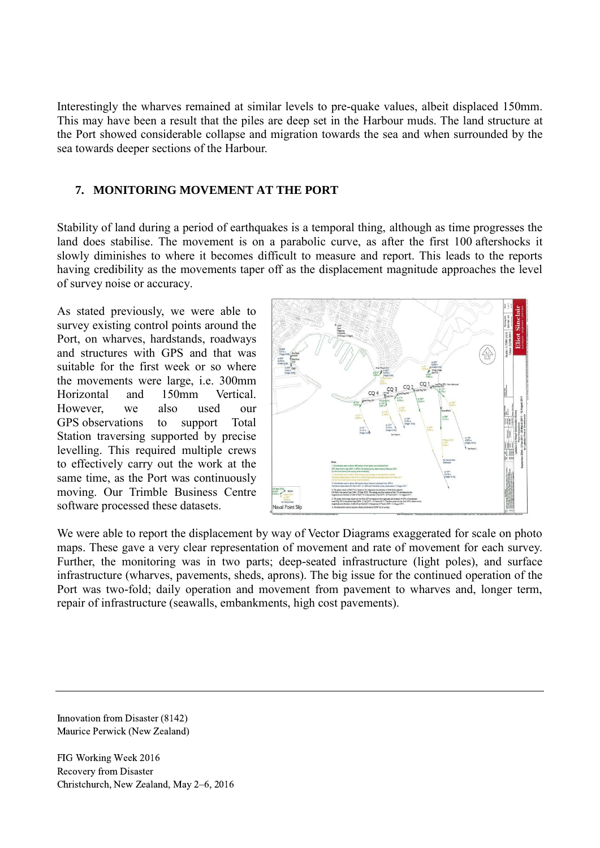Interestingly the wharves remained at similar levels to pre-quake values, albeit displaced 150mm. This may have been a result that the piles are deep set in the Harbour muds. The land structure at the Port showed considerable collapse and migration towards the sea and when surrounded by the sea towards deeper sections of the Harbour.

#### **7. MONITORING MOVEMENT AT THE PORT**

Stability of land during a period of earthquakes is a temporal thing, although as time progresses the land does stabilise. The movement is on a parabolic curve, as after the first 100 aftershocks it slowly diminishes to where it becomes difficult to measure and report. This leads to the reports having credibility as the movements taper off as the displacement magnitude approaches the level of survey noise or accuracy.

As stated previously, we were able to survey existing control points around the Port, on wharves, hardstands, roadways and structures with GPS and that was suitable for the first week or so where the movements were large, i.e. 300mm Horizontal and 150mm Vertical. However, we also used our GPS observations to support Total Station traversing supported by precise levelling. This required multiple crews to effectively carry out the work at the same time, as the Port was continuously moving. Our Trimble Business Centre software processed these datasets.



We were able to report the displacement by way of Vector Diagrams exaggerated for scale on photo maps. These gave a very clear representation of movement and rate of movement for each survey. Further, the monitoring was in two parts; deep-seated infrastructure (light poles), and surface infrastructure (wharves, pavements, sheds, aprons). The big issue for the continued operation of the Port was two-fold; daily operation and movement from pavement to wharves and, longer term, repair of infrastructure (seawalls, embankments, high cost pavements).

Innovation from Disaster (8142) Maurice Perwick (New Zealand)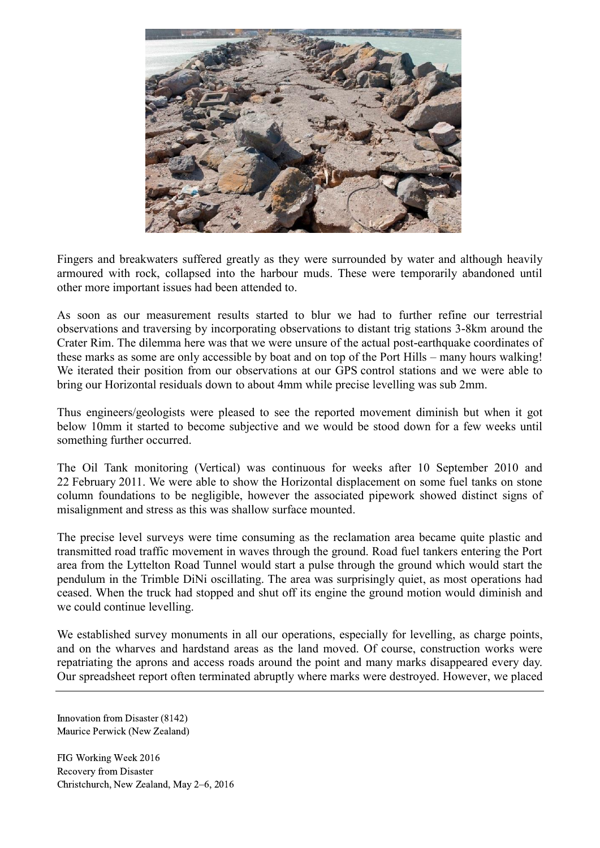

Fingers and breakwaters suffered greatly as they were surrounded by water and although heavily armoured with rock, collapsed into the harbour muds. These were temporarily abandoned until other more important issues had been attended to.

As soon as our measurement results started to blur we had to further refine our terrestrial observations and traversing by incorporating observations to distant trig stations 3-8km around the Crater Rim. The dilemma here was that we were unsure of the actual post-earthquake coordinates of these marks as some are only accessible by boat and on top of the Port Hills – many hours walking! We iterated their position from our observations at our GPS control stations and we were able to bring our Horizontal residuals down to about 4mm while precise levelling was sub 2mm.

Thus engineers/geologists were pleased to see the reported movement diminish but when it got below 10mm it started to become subjective and we would be stood down for a few weeks until something further occurred.

The Oil Tank monitoring (Vertical) was continuous for weeks after 10 September 2010 and 22 February 2011. We were able to show the Horizontal displacement on some fuel tanks on stone column foundations to be negligible, however the associated pipework showed distinct signs of misalignment and stress as this was shallow surface mounted.

The precise level surveys were time consuming as the reclamation area became quite plastic and transmitted road traffic movement in waves through the ground. Road fuel tankers entering the Port area from the Lyttelton Road Tunnel would start a pulse through the ground which would start the pendulum in the Trimble DiNi oscillating. The area was surprisingly quiet, as most operations had ceased. When the truck had stopped and shut off its engine the ground motion would diminish and we could continue levelling.

We established survey monuments in all our operations, especially for levelling, as charge points, and on the wharves and hardstand areas as the land moved. Of course, construction works were repatriating the aprons and access roads around the point and many marks disappeared every day. Our spreadsheet report often terminated abruptly where marks were destroyed. However, we placed

Innovation from Disaster (8142) Maurice Perwick (New Zealand)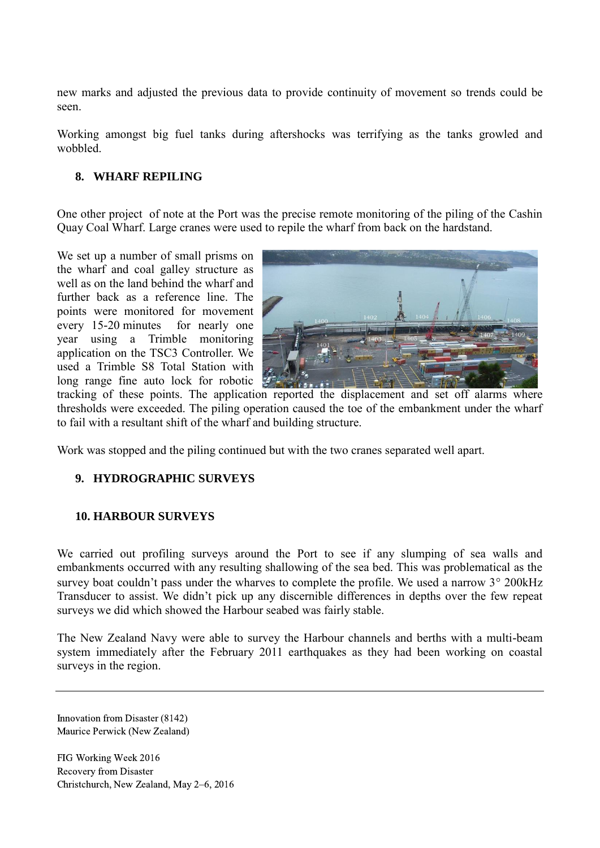new marks and adjusted the previous data to provide continuity of movement so trends could be seen.

Working amongst big fuel tanks during aftershocks was terrifying as the tanks growled and wobbled.

### **8. WHARF REPILING**

One other project of note at the Port was the precise remote monitoring of the piling of the Cashin Quay Coal Wharf. Large cranes were used to repile the wharf from back on the hardstand.

We set up a number of small prisms on the wharf and coal galley structure as well as on the land behind the wharf and further back as a reference line. The points were monitored for movement every 15-20 minutes for nearly one year using a Trimble monitoring application on the TSC3 Controller. We used a Trimble S8 Total Station with long range fine auto lock for robotic



tracking of these points. The application reported the displacement and set off alarms where thresholds were exceeded. The piling operation caused the toe of the embankment under the wharf to fail with a resultant shift of the wharf and building structure.

Work was stopped and the piling continued but with the two cranes separated well apart.

## **9. HYDROGRAPHIC SURVEYS**

#### **10. HARBOUR SURVEYS**

We carried out profiling surveys around the Port to see if any slumping of sea walls and embankments occurred with any resulting shallowing of the sea bed. This was problematical as the survey boat couldn't pass under the wharves to complete the profile. We used a narrow  $3^{\circ}$  200 kHz Transducer to assist. We didn't pick up any discernible differences in depths over the few repeat surveys we did which showed the Harbour seabed was fairly stable.

The New Zealand Navy were able to survey the Harbour channels and berths with a multi-beam system immediately after the February 2011 earthquakes as they had been working on coastal surveys in the region.

Innovation from Disaster (8142) Maurice Perwick (New Zealand)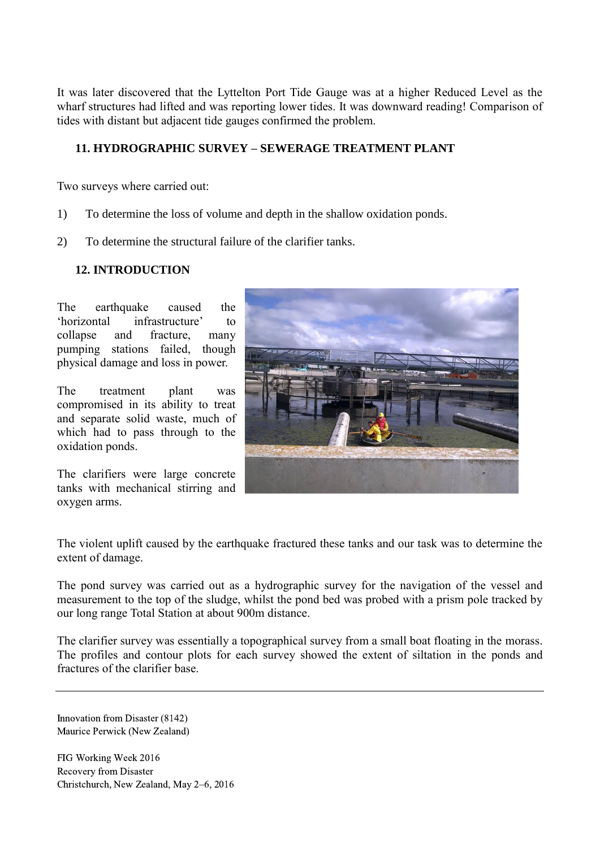It was later discovered that the Lyttelton Port Tide Gauge was at a higher Reduced Level as the wharf structures had lifted and was reporting lower tides. It was downward reading! Comparison of tides with distant but adjacent tide gauges confirmed the problem.

#### **11. HYDROGRAPHIC SURVEY – SEWERAGE TREATMENT PLANT**

Two surveys where carried out:

- 1) To determine the loss of volume and depth in the shallow oxidation ponds.
- 2) To determine the structural failure of the clarifier tanks.

#### **12. INTRODUCTION**

The earthquake caused the 'horizontal infrastructure' to collapse and fracture, many pumping stations failed, though physical damage and loss in power.

The treatment plant was compromised in its ability to treat and separate solid waste, much of which had to pass through to the oxidation ponds.

The clarifiers were large concrete tanks with mechanical stirring and oxygen arms.



The violent uplift caused by the earthquake fractured these tanks and our task was to determine the extent of damage.

The pond survey was carried out as a hydrographic survey for the navigation of the vessel and measurement to the top of the sludge, whilst the pond bed was probed with a prism pole tracked by our long range Total Station at about 900m distance.

The clarifier survey was essentially a topographical survey from a small boat floating in the morass. The profiles and contour plots for each survey showed the extent of siltation in the ponds and fractures of the clarifier base.

Innovation from Disaster (8142) Maurice Perwick (New Zealand)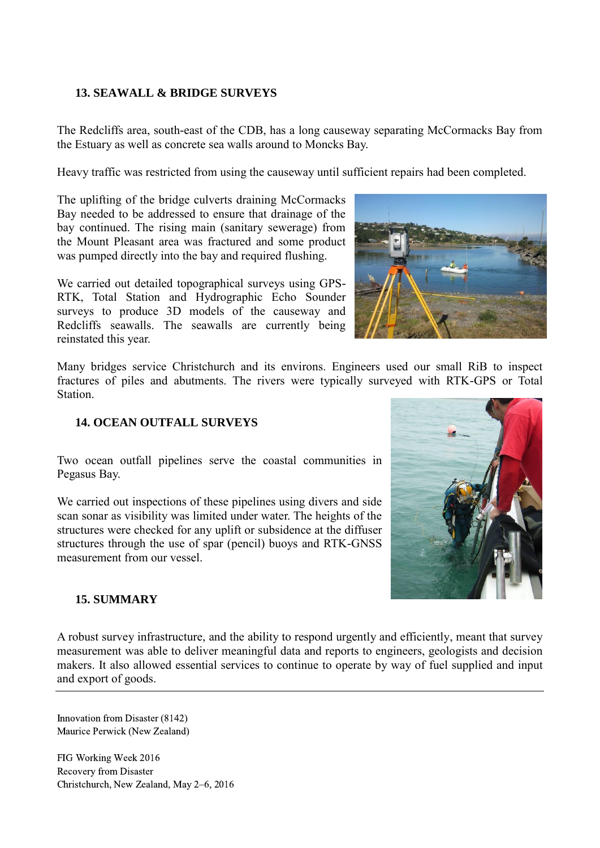### **13. SEAWALL & BRIDGE SURVEYS**

The Redcliffs area, south-east of the CDB, has a long causeway separating McCormacks Bay from the Estuary as well as concrete sea walls around to Moncks Bay.

Heavy traffic was restricted from using the causeway until sufficient repairs had been completed.

The uplifting of the bridge culverts draining McCormacks Bay needed to be addressed to ensure that drainage of the bay continued. The rising main (sanitary sewerage) from the Mount Pleasant area was fractured and some product was pumped directly into the bay and required flushing.

We carried out detailed topographical surveys using GPS-RTK, Total Station and Hydrographic Echo Sounder surveys to produce 3D models of the causeway and Redcliffs seawalls. The seawalls are currently being reinstated this year.

Many bridges service Christchurch and its environs. Engineers used our small RiB to inspect fractures of piles and abutments. The rivers were typically surveyed with RTK-GPS or Total **Station** 

#### **14. OCEAN OUTFALL SURVEYS**

Two ocean outfall pipelines serve the coastal communities in Pegasus Bay.

We carried out inspections of these pipelines using divers and side scan sonar as visibility was limited under water. The heights of the structures were checked for any uplift or subsidence at the diffuser structures through the use of spar (pencil) buoys and RTK-GNSS measurement from our vessel.

#### **15. SUMMARY**

A robust survey infrastructure, and the ability to respond urgently and efficiently, meant that survey measurement was able to deliver meaningful data and reports to engineers, geologists and decision makers. It also allowed essential services to continue to operate by way of fuel supplied and input and export of goods.

Innovation from Disaster (8142) Maurice Perwick (New Zealand)